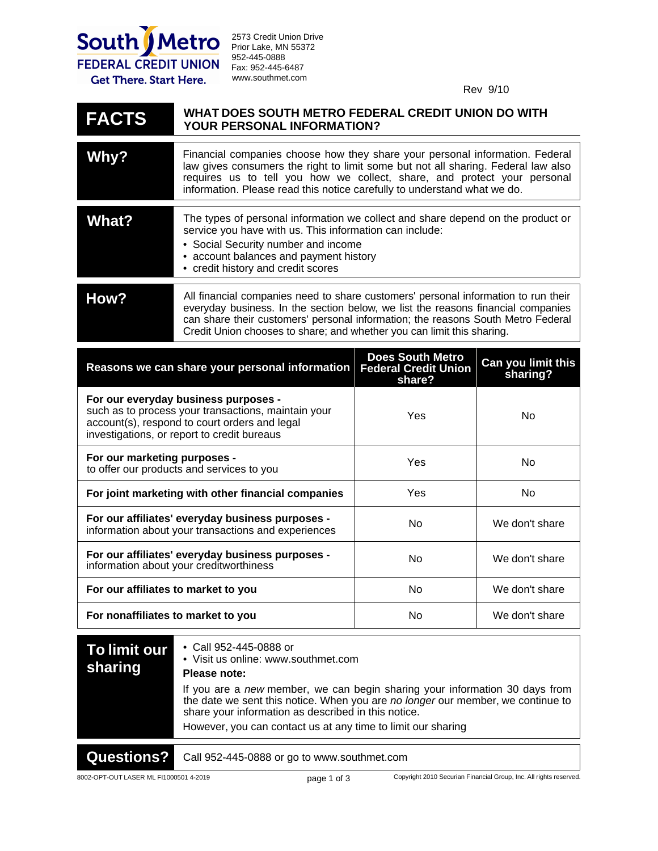

2573 Credit Union Drive Prior Lake, MN 55372 952-445-0888 Fax: 952-445-6487 www.southmet.com

Rev 9/10

## **WHAT DOES SOUTH METRO FEDERAL CREDIT UNION DO WITH YOUR PERSONAL INFORMATION? FACTS**

| Why?         | Financial companies choose how they share your personal information. Federal<br>law gives consumers the right to limit some but not all sharing. Federal law also<br>requires us to tell you how we collect, share, and protect your personal<br>information. Please read this notice carefully to understand what we do.            |
|--------------|--------------------------------------------------------------------------------------------------------------------------------------------------------------------------------------------------------------------------------------------------------------------------------------------------------------------------------------|
| <b>What?</b> | The types of personal information we collect and share depend on the product or<br>service you have with us. This information can include:<br>• Social Security number and income<br>• account balances and payment history<br>• credit history and credit scores                                                                    |
| How?         | All financial companies need to share customers' personal information to run their<br>everyday business. In the section below, we list the reasons financial companies<br>can share their customers' personal information; the reasons South Metro Federal<br>Credit Union chooses to share; and whether you can limit this sharing. |

| Reasons we can share your personal information                                                                                                                                              | <b>Does South Metro</b><br><b>Federal Credit Union</b><br>share? | Can you limit this<br>sharing? |
|---------------------------------------------------------------------------------------------------------------------------------------------------------------------------------------------|------------------------------------------------------------------|--------------------------------|
| For our everyday business purposes -<br>such as to process your transactions, maintain your<br>account(s), respond to court orders and legal<br>investigations, or report to credit bureaus | Yes                                                              | No                             |
| For our marketing purposes -<br>to offer our products and services to you                                                                                                                   | Yes                                                              | No                             |
| For joint marketing with other financial companies                                                                                                                                          | Yes                                                              | No                             |
| For our affiliates' everyday business purposes -<br>information about your transactions and experiences                                                                                     | No.                                                              | We don't share                 |
| For our affiliates' everyday business purposes -<br>information about your creditworthiness                                                                                                 | No.                                                              | We don't share                 |
| For our affiliates to market to you                                                                                                                                                         | No.                                                              | We don't share                 |
| For nonaffiliates to market to you                                                                                                                                                          | No                                                               | We don't share                 |

| To limit our<br>sharing | • Call 952-445-0888 or<br>• Visit us online: www.southmet.com<br>Please note:                                                                                                                                         |
|-------------------------|-----------------------------------------------------------------------------------------------------------------------------------------------------------------------------------------------------------------------|
|                         | If you are a new member, we can begin sharing your information 30 days from<br>the date we sent this notice. When you are no longer our member, we continue to<br>share your information as described in this notice. |
|                         | However, you can contact us at any time to limit our sharing                                                                                                                                                          |
| <b>Questions?</b>       | Call 952-445-0888 or go to www.southmet.com                                                                                                                                                                           |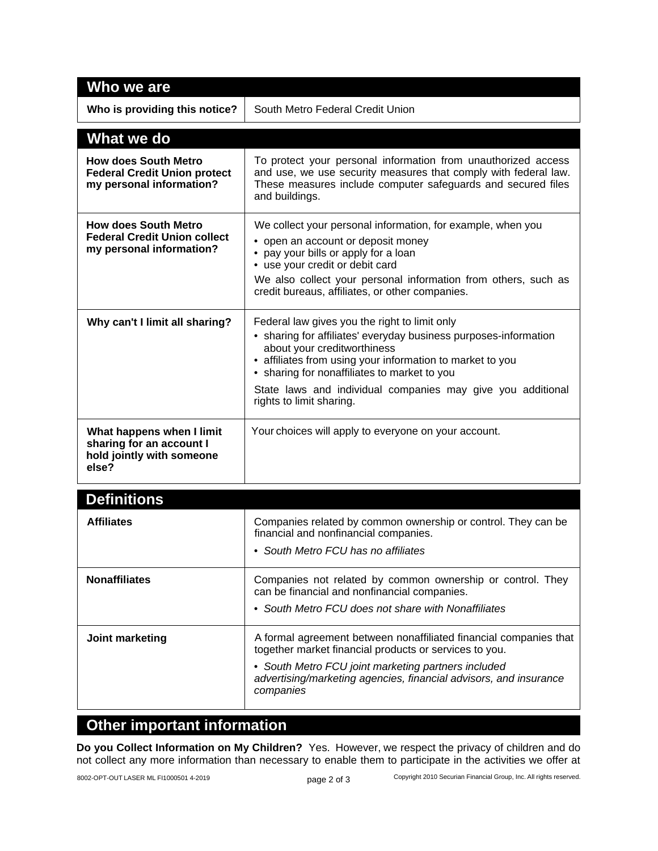| Who we are                                                                                     |                                                                                                                                                                                                                                                                                                                                                          |  |  |  |
|------------------------------------------------------------------------------------------------|----------------------------------------------------------------------------------------------------------------------------------------------------------------------------------------------------------------------------------------------------------------------------------------------------------------------------------------------------------|--|--|--|
| Who is providing this notice?                                                                  | South Metro Federal Credit Union                                                                                                                                                                                                                                                                                                                         |  |  |  |
| What we do                                                                                     |                                                                                                                                                                                                                                                                                                                                                          |  |  |  |
| <b>How does South Metro</b><br><b>Federal Credit Union protect</b><br>my personal information? | To protect your personal information from unauthorized access<br>and use, we use security measures that comply with federal law.<br>These measures include computer safeguards and secured files<br>and buildings.                                                                                                                                       |  |  |  |
| <b>How does South Metro</b><br><b>Federal Credit Union collect</b><br>my personal information? | We collect your personal information, for example, when you<br>• open an account or deposit money<br>pay your bills or apply for a loan<br>• use your credit or debit card<br>We also collect your personal information from others, such as<br>credit bureaus, affiliates, or other companies.                                                          |  |  |  |
| Why can't I limit all sharing?                                                                 | Federal law gives you the right to limit only<br>• sharing for affiliates' everyday business purposes-information<br>about your creditworthiness<br>• affiliates from using your information to market to you<br>• sharing for nonaffiliates to market to you<br>State laws and individual companies may give you additional<br>rights to limit sharing. |  |  |  |
| What happens when I limit<br>sharing for an account I<br>hold jointly with someone<br>else?    | Your choices will apply to everyone on your account.                                                                                                                                                                                                                                                                                                     |  |  |  |
| .                                                                                              |                                                                                                                                                                                                                                                                                                                                                          |  |  |  |

| <b>Definitions</b>   |                                                                                                                                                                                                                                                                      |
|----------------------|----------------------------------------------------------------------------------------------------------------------------------------------------------------------------------------------------------------------------------------------------------------------|
| <b>Affiliates</b>    | Companies related by common ownership or control. They can be<br>financial and nonfinancial companies.<br>• South Metro FCU has no affiliates                                                                                                                        |
| <b>Nonaffiliates</b> | Companies not related by common ownership or control. They<br>can be financial and nonfinancial companies.<br>• South Metro FCU does not share with Nonaffiliates                                                                                                    |
| Joint marketing      | A formal agreement between nonaffiliated financial companies that<br>together market financial products or services to you.<br>• South Metro FCU joint marketing partners included<br>advertising/marketing agencies, financial advisors, and insurance<br>companies |

## **Other important information**

**Do you Collect Information on My Children?** Yes. However, we respect the privacy of children and do not collect any more information than necessary to enable them to participate in the activities we offer at